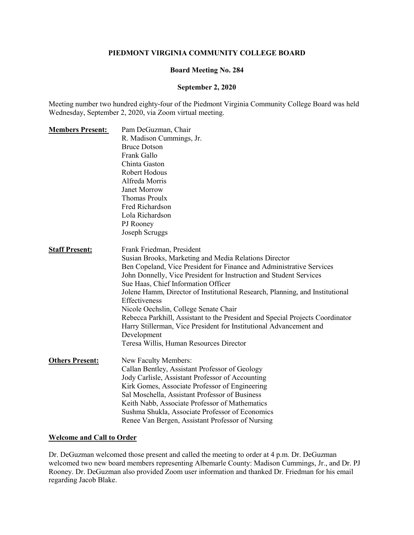### **PIEDMONT VIRGINIA COMMUNITY COLLEGE BOARD**

#### **Board Meeting No. 284**

#### **September 2, 2020**

Meeting number two hundred eighty-four of the Piedmont Virginia Community College Board was held Wednesday, September 2, 2020, via Zoom virtual meeting.

| <b>Members Present:</b> | Pam DeGuzman, Chair                                                           |
|-------------------------|-------------------------------------------------------------------------------|
|                         | R. Madison Cummings, Jr.                                                      |
|                         | <b>Bruce Dotson</b>                                                           |
|                         | Frank Gallo                                                                   |
|                         | Chinta Gaston                                                                 |
|                         | Robert Hodous                                                                 |
|                         | Alfreda Morris                                                                |
|                         | Janet Morrow                                                                  |
|                         | <b>Thomas Proulx</b>                                                          |
|                         | Fred Richardson                                                               |
|                         | Lola Richardson                                                               |
|                         | PJ Rooney                                                                     |
|                         | Joseph Scruggs                                                                |
| <b>Staff Present:</b>   | Frank Friedman, President                                                     |
|                         | Susian Brooks, Marketing and Media Relations Director                         |
|                         | Ben Copeland, Vice President for Finance and Administrative Services          |
|                         | John Donnelly, Vice President for Instruction and Student Services            |
|                         | Sue Haas, Chief Information Officer                                           |
|                         | Jolene Hamm, Director of Institutional Research, Planning, and Institutional  |
|                         | Effectiveness                                                                 |
|                         | Nicole Oechslin, College Senate Chair                                         |
|                         | Rebecca Parkhill, Assistant to the President and Special Projects Coordinator |
|                         | Harry Stillerman, Vice President for Institutional Advancement and            |
|                         | Development                                                                   |
|                         | Teresa Willis, Human Resources Director                                       |
| <b>Others Present:</b>  | New Faculty Members:                                                          |
|                         | Callan Bentley, Assistant Professor of Geology                                |
|                         | Jody Carlisle, Assistant Professor of Accounting                              |
|                         | Kirk Gomes, Associate Professor of Engineering                                |
|                         | Sal Moschella, Assistant Professor of Business                                |
|                         | Keith Nabb, Associate Professor of Mathematics                                |
|                         | Sushma Shukla, Associate Professor of Economics                               |
|                         | Renee Van Bergen, Assistant Professor of Nursing                              |

## **Welcome and Call to Order**

Dr. DeGuzman welcomed those present and called the meeting to order at 4 p.m. Dr. DeGuzman welcomed two new board members representing Albemarle County: Madison Cummings, Jr., and Dr. PJ Rooney. Dr. DeGuzman also provided Zoom user information and thanked Dr. Friedman for his email regarding Jacob Blake.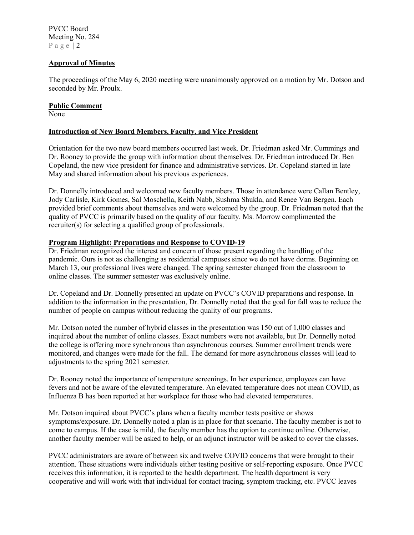## **Approval of Minutes**

The proceedings of the May 6, 2020 meeting were unanimously approved on a motion by Mr. Dotson and seconded by Mr. Proulx.

## **Public Comment**

None

## **Introduction of New Board Members, Faculty, and Vice President**

Orientation for the two new board members occurred last week. Dr. Friedman asked Mr. Cummings and Dr. Rooney to provide the group with information about themselves. Dr. Friedman introduced Dr. Ben Copeland, the new vice president for finance and administrative services. Dr. Copeland started in late May and shared information about his previous experiences.

Dr. Donnelly introduced and welcomed new faculty members. Those in attendance were Callan Bentley, Jody Carlisle, Kirk Gomes, Sal Moschella, Keith Nabb, Sushma Shukla, and Renee Van Bergen. Each provided brief comments about themselves and were welcomed by the group. Dr. Friedman noted that the quality of PVCC is primarily based on the quality of our faculty. Ms. Morrow complimented the recruiter(s) for selecting a qualified group of professionals.

### **Program Highlight: Preparations and Response to COVID-19**

Dr. Friedman recognized the interest and concern of those present regarding the handling of the pandemic. Ours is not as challenging as residential campuses since we do not have dorms. Beginning on March 13, our professional lives were changed. The spring semester changed from the classroom to online classes. The summer semester was exclusively online.

Dr. Copeland and Dr. Donnelly presented an update on PVCC's COVID preparations and response. In addition to the information in the presentation, Dr. Donnelly noted that the goal for fall was to reduce the number of people on campus without reducing the quality of our programs.

Mr. Dotson noted the number of hybrid classes in the presentation was 150 out of 1,000 classes and inquired about the number of online classes. Exact numbers were not available, but Dr. Donnelly noted the college is offering more synchronous than asynchronous courses. Summer enrollment trends were monitored, and changes were made for the fall. The demand for more asynchronous classes will lead to adjustments to the spring 2021 semester.

Dr. Rooney noted the importance of temperature screenings. In her experience, employees can have fevers and not be aware of the elevated temperature. An elevated temperature does not mean COVID, as Influenza B has been reported at her workplace for those who had elevated temperatures.

Mr. Dotson inquired about PVCC's plans when a faculty member tests positive or shows symptoms/exposure. Dr. Donnelly noted a plan is in place for that scenario. The faculty member is not to come to campus. If the case is mild, the faculty member has the option to continue online. Otherwise, another faculty member will be asked to help, or an adjunct instructor will be asked to cover the classes.

PVCC administrators are aware of between six and twelve COVID concerns that were brought to their attention. These situations were individuals either testing positive or self-reporting exposure. Once PVCC receives this information, it is reported to the health department. The health department is very cooperative and will work with that individual for contact tracing, symptom tracking, etc. PVCC leaves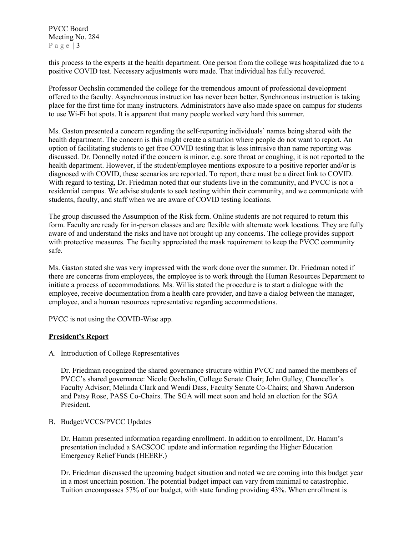this process to the experts at the health department. One person from the college was hospitalized due to a positive COVID test. Necessary adjustments were made. That individual has fully recovered.

Professor Oechslin commended the college for the tremendous amount of professional development offered to the faculty. Asynchronous instruction has never been better. Synchronous instruction is taking place for the first time for many instructors. Administrators have also made space on campus for students to use Wi-Fi hot spots. It is apparent that many people worked very hard this summer.

Ms. Gaston presented a concern regarding the self-reporting individuals' names being shared with the health department. The concern is this might create a situation where people do not want to report. An option of facilitating students to get free COVID testing that is less intrusive than name reporting was discussed. Dr. Donnelly noted if the concern is minor, e.g. sore throat or coughing, it is not reported to the health department. However, if the student/employee mentions exposure to a positive reporter and/or is diagnosed with COVID, these scenarios are reported. To report, there must be a direct link to COVID. With regard to testing, Dr. Friedman noted that our students live in the community, and PVCC is not a residential campus. We advise students to seek testing within their community, and we communicate with students, faculty, and staff when we are aware of COVID testing locations.

The group discussed the Assumption of the Risk form. Online students are not required to return this form. Faculty are ready for in-person classes and are flexible with alternate work locations. They are fully aware of and understand the risks and have not brought up any concerns. The college provides support with protective measures. The faculty appreciated the mask requirement to keep the PVCC community safe.

Ms. Gaston stated she was very impressed with the work done over the summer. Dr. Friedman noted if there are concerns from employees, the employee is to work through the Human Resources Department to initiate a process of accommodations. Ms. Willis stated the procedure is to start a dialogue with the employee, receive documentation from a health care provider, and have a dialog between the manager, employee, and a human resources representative regarding accommodations.

PVCC is not using the COVID-Wise app.

### **President's Report**

A. Introduction of College Representatives

Dr. Friedman recognized the shared governance structure within PVCC and named the members of PVCC's shared governance: Nicole Oechslin, College Senate Chair; John Gulley, Chancellor's Faculty Advisor; Melinda Clark and Wendi Dass, Faculty Senate Co-Chairs; and Shawn Anderson and Patsy Rose, PASS Co-Chairs. The SGA will meet soon and hold an election for the SGA President.

B. Budget/VCCS/PVCC Updates

Dr. Hamm presented information regarding enrollment. In addition to enrollment, Dr. Hamm's presentation included a SACSCOC update and information regarding the Higher Education Emergency Relief Funds (HEERF.)

Dr. Friedman discussed the upcoming budget situation and noted we are coming into this budget year in a most uncertain position. The potential budget impact can vary from minimal to catastrophic. Tuition encompasses 57% of our budget, with state funding providing 43%. When enrollment is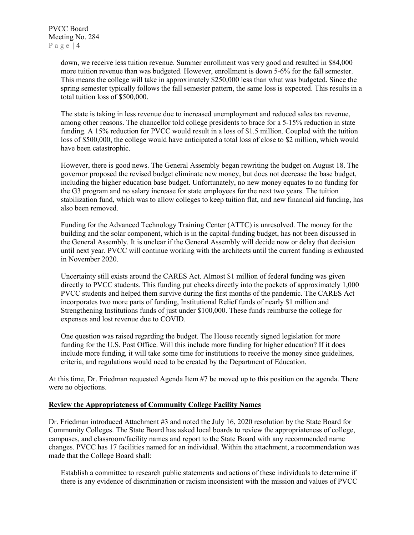> down, we receive less tuition revenue. Summer enrollment was very good and resulted in \$84,000 more tuition revenue than was budgeted. However, enrollment is down 5-6% for the fall semester. This means the college will take in approximately \$250,000 less than what was budgeted. Since the spring semester typically follows the fall semester pattern, the same loss is expected. This results in a total tuition loss of \$500,000.

The state is taking in less revenue due to increased unemployment and reduced sales tax revenue, among other reasons. The chancellor told college presidents to brace for a 5-15% reduction in state funding. A 15% reduction for PVCC would result in a loss of \$1.5 million. Coupled with the tuition loss of \$500,000, the college would have anticipated a total loss of close to \$2 million, which would have been catastrophic.

However, there is good news. The General Assembly began rewriting the budget on August 18. The governor proposed the revised budget eliminate new money, but does not decrease the base budget, including the higher education base budget. Unfortunately, no new money equates to no funding for the G3 program and no salary increase for state employees for the next two years. The tuition stabilization fund, which was to allow colleges to keep tuition flat, and new financial aid funding, has also been removed.

Funding for the Advanced Technology Training Center (ATTC) is unresolved. The money for the building and the solar component, which is in the capital-funding budget, has not been discussed in the General Assembly. It is unclear if the General Assembly will decide now or delay that decision until next year. PVCC will continue working with the architects until the current funding is exhausted in November 2020.

Uncertainty still exists around the CARES Act. Almost \$1 million of federal funding was given directly to PVCC students. This funding put checks directly into the pockets of approximately 1,000 PVCC students and helped them survive during the first months of the pandemic. The CARES Act incorporates two more parts of funding, Institutional Relief funds of nearly \$1 million and Strengthening Institutions funds of just under \$100,000. These funds reimburse the college for expenses and lost revenue due to COVID.

One question was raised regarding the budget. The House recently signed legislation for more funding for the U.S. Post Office. Will this include more funding for higher education? If it does include more funding, it will take some time for institutions to receive the money since guidelines, criteria, and regulations would need to be created by the Department of Education.

At this time, Dr. Friedman requested Agenda Item #7 be moved up to this position on the agenda. There were no objections.

### **Review the Appropriateness of Community College Facility Names**

Dr. Friedman introduced Attachment #3 and noted the July 16, 2020 resolution by the State Board for Community Colleges. The State Board has asked local boards to review the appropriateness of college, campuses, and classroom/facility names and report to the State Board with any recommended name changes. PVCC has 17 facilities named for an individual. Within the attachment, a recommendation was made that the College Board shall:

Establish a committee to research public statements and actions of these individuals to determine if there is any evidence of discrimination or racism inconsistent with the mission and values of PVCC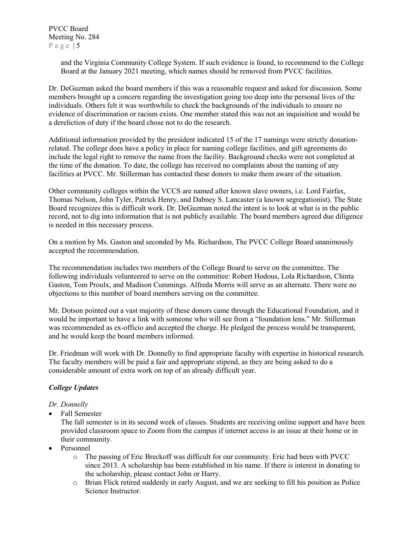> and the Virginia Community College System. If such evidence is found, to recommend to the College Board at the January 2021 meeting, which names should be removed from PVCC facilities.

Dr. DeGuzman asked the board members if this was a reasonable request and asked for discussion. Some members brought up a concern regarding the investigation going too deep into the personal lives of the individuals. Others felt it was worthwhile to check the backgrounds of the individuals to ensure no evidence of discrimination or racism exists. One member stated this was not an inquisition and would be a dereliction of duty if the board chose not to do the research.

Additional information provided by the president indicated 15 of the 17 namings were strictly donationrelated. The college does have a policy in place for naming college facilities, and gift agreements do include the legal right to remove the name from the facility. Background checks were not completed at the time of the donation. To date, the college has received no complaints about the naming of any facilities at PVCC. Mr. Stillerman has contacted these donors to make them aware of the situation.

Other community colleges within the VCCS are named after known slave owners, i.e. Lord Fairfax, Thomas Nelson, John Tyler, Patrick Henry, and Dabney S. Lancaster (a known segregationist). The State Board recognizes this is difficult work. Dr. DeGuzman noted the intent is to look at what is in the public record, not to dig into information that is not publicly available. The board members agreed due diligence is needed in this necessary process.

On a motion by Ms. Gaston and seconded by Ms. Richardson, The PVCC College Board unanimously accepted the recommendation.

The recommendation includes two members of the College Board to serve on the committee. The following individuals volunteered to serve on the committee: Robert Hodous, Lola Richardson, Chinta Gaston, Tom Proulx, and Madison Cummings. Alfreda Morris will serve as an alternate. There were no objections to this number of board members serving on the committee.

Mr. Dotson pointed out a vast majority of these donors came through the Educational Foundation, and it would be important to have a link with someone who will see from a "foundation lens." Mr. Stillerman was recommended as ex-officio and accepted the charge. He pledged the process would be transparent, and he would keep the board members informed.

Dr. Friedman will work with Dr. Donnelly to find appropriate faculty with expertise in historical research. The faculty members will be paid a fair and appropriate stipend, as they are being asked to do a considerable amount of extra work on top of an already difficult year.

## *College Updates*

*Dr. Donnelly*

• Fall Semester

The fall semester is in its second week of classes. Students are receiving online support and have been provided classroom space to Zoom from the campus if internet access is an issue at their home or in their community.

- Personnel
	- o The passing of Eric Breckoff was difficult for our community. Eric had been with PVCC since 2013. A scholarship has been established in his name. If there is interest in donating to the scholarship, please contact John or Harry.
	- o Brian Flick retired suddenly in early August, and we are seeking to fill his position as Police Science Instructor.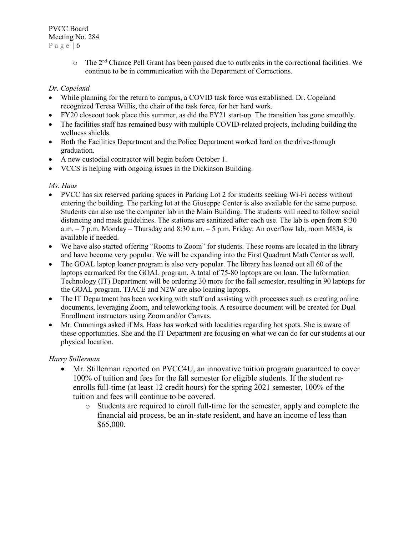$\circ$  The 2<sup>nd</sup> Chance Pell Grant has been paused due to outbreaks in the correctional facilities. We continue to be in communication with the Department of Corrections.

## *Dr. Copeland*

- While planning for the return to campus, a COVID task force was established. Dr. Copeland recognized Teresa Willis, the chair of the task force, for her hard work.
- FY20 closeout took place this summer, as did the FY21 start-up. The transition has gone smoothly.
- The facilities staff has remained busy with multiple COVID-related projects, including building the wellness shields.
- Both the Facilities Department and the Police Department worked hard on the drive-through graduation.
- A new custodial contractor will begin before October 1.
- VCCS is helping with ongoing issues in the Dickinson Building.

## *Ms. Haas*

- PVCC has six reserved parking spaces in Parking Lot 2 for students seeking Wi-Fi access without entering the building. The parking lot at the Giuseppe Center is also available for the same purpose. Students can also use the computer lab in the Main Building. The students will need to follow social distancing and mask guidelines. The stations are sanitized after each use. The lab is open from 8:30 a.m.  $-7$  p.m. Monday – Thursday and 8:30 a.m.  $-5$  p.m. Friday. An overflow lab, room M834, is available if needed.
- We have also started offering "Rooms to Zoom" for students. These rooms are located in the library and have become very popular. We will be expanding into the First Quadrant Math Center as well.
- The GOAL laptop loaner program is also very popular. The library has loaned out all 60 of the laptops earmarked for the GOAL program. A total of 75-80 laptops are on loan. The Information Technology (IT) Department will be ordering 30 more for the fall semester, resulting in 90 laptops for the GOAL program. TJACE and N2W are also loaning laptops.
- The IT Department has been working with staff and assisting with processes such as creating online documents, leveraging Zoom, and teleworking tools. A resource document will be created for Dual Enrollment instructors using Zoom and/or Canvas.
- Mr. Cummings asked if Ms. Haas has worked with localities regarding hot spots. She is aware of these opportunities. She and the IT Department are focusing on what we can do for our students at our physical location.

## *Harry Stillerman*

- Mr. Stillerman reported on PVCC4U, an innovative tuition program guaranteed to cover 100% of tuition and fees for the fall semester for eligible students. If the student reenrolls full-time (at least 12 credit hours) for the spring 2021 semester, 100% of the tuition and fees will continue to be covered.
	- o Students are required to enroll full-time for the semester, apply and complete the financial aid process, be an in-state resident, and have an income of less than \$65,000.